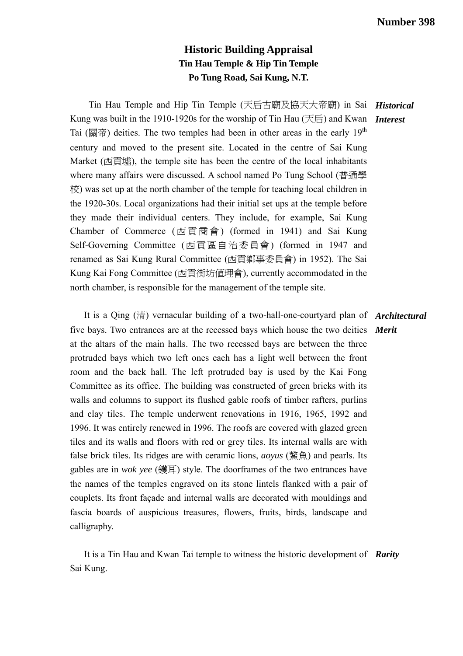## **Historic Building Appraisal Tin Hau Temple & Hip Tin Temple Po Tung Road, Sai Kung, N.T.**

Tin Hau Temple and Hip Tin Temple (天后古廟及協天大帝廟) in Sai *Historical*  Kung was built in the 1910-1920s for the worship of Tin Hau (天后) and Kwan *Interest*  Tai (關帝) deities. The two temples had been in other areas in the early  $19<sup>th</sup>$ century and moved to the present site. Located in the centre of Sai Kung Market (西貢墟), the temple site has been the centre of the local inhabitants where many affairs were discussed. A school named Po Tung School (普通學 校) was set up at the north chamber of the temple for teaching local children in the 1920-30s. Local organizations had their initial set ups at the temple before they made their individual centers. They include, for example, Sai Kung Chamber of Commerce ( 西貢商會 ) (formed in 1941) and Sai Kung Self-Governing Committee (西貢區自治委員會) (formed in 1947 and renamed as Sai Kung Rural Committee (西貢鄉事委員會) in 1952). The Sai Kung Kai Fong Committee (西貢街坊值理會), currently accommodated in the north chamber, is responsible for the management of the temple site.

 It is a Qing (清) vernacular building of a two-hall-one-courtyard plan of *Architectural*  five bays. Two entrances are at the recessed bays which house the two deities *Merit*  at the altars of the main halls. The two recessed bays are between the three protruded bays which two left ones each has a light well between the front room and the back hall. The left protruded bay is used by the Kai Fong Committee as its office. The building was constructed of green bricks with its walls and columns to support its flushed gable roofs of timber rafters, purlins and clay tiles. The temple underwent renovations in 1916, 1965, 1992 and 1996. It was entirely renewed in 1996. The roofs are covered with glazed green tiles and its walls and floors with red or grey tiles. Its internal walls are with false brick tiles. Its ridges are with ceramic lions, *aoyus* (鰲魚) and pearls. Its gables are in *wok yee* (鑊耳) style. The doorframes of the two entrances have the names of the temples engraved on its stone lintels flanked with a pair of couplets. Its front façade and internal walls are decorated with mouldings and fascia boards of auspicious treasures, flowers, fruits, birds, landscape and calligraphy.

 It is a Tin Hau and Kwan Tai temple to witness the historic development of *Rarity*  Sai Kung.